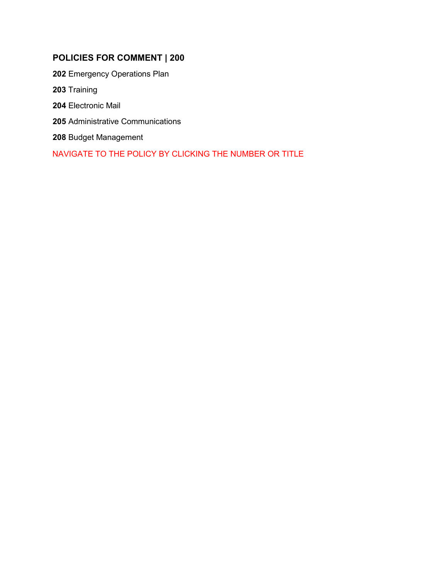## **POLICIES FOR COMMENT | 200**

 [Emergency Operations Plan](#page-1-0) [Training](#page-3-0) [Electronic Mail](#page-8-0) [Administrative Communications](#page-10-0) [Budget Management](#page-11-0)

NAVIGATE TO THE POLICY BY CLICKING THE NUMBER OR TITLE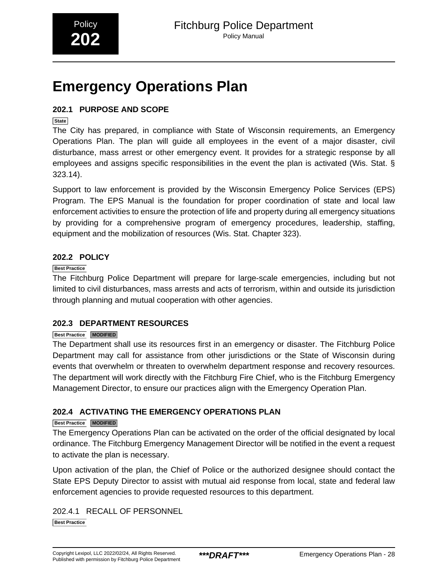## <span id="page-1-0"></span>**Emergency Operations Plan**

## **202.1 PURPOSE AND SCOPE**

**State**

The City has prepared, in compliance with State of Wisconsin requirements, an Emergency Operations Plan. The plan will guide all employees in the event of a major disaster, civil disturbance, mass arrest or other emergency event. It provides for a strategic response by all employees and assigns specific responsibilities in the event the plan is activated (Wis. Stat. § 323.14).

Support to law enforcement is provided by the Wisconsin Emergency Police Services (EPS) Program. The EPS Manual is the foundation for proper coordination of state and local law enforcement activities to ensure the protection of life and property during all emergency situations by providing for a comprehensive program of emergency procedures, leadership, staffing, equipment and the mobilization of resources (Wis. Stat. Chapter 323).

## **202.2 POLICY**

#### **Best Practice**

The Fitchburg Police Department will prepare for large-scale emergencies, including but not limited to civil disturbances, mass arrests and acts of terrorism, within and outside its jurisdiction through planning and mutual cooperation with other agencies.

## **202.3 DEPARTMENT RESOURCES**

#### **Best Practice MODIFIED**

The Department shall use its resources first in an emergency or disaster. The Fitchburg Police Department may call for assistance from other jurisdictions or the State of Wisconsin during events that overwhelm or threaten to overwhelm department response and recovery resources. The department will work directly with the Fitchburg Fire Chief, who is the Fitchburg Emergency Management Director, to ensure our practices align with the Emergency Operation Plan.

## **202.4 ACTIVATING THE EMERGENCY OPERATIONS PLAN**

#### **Best Practice MODIFIED**

The Emergency Operations Plan can be activated on the order of the official designated by local ordinance. The Fitchburg Emergency Management Director will be notified in the event a request to activate the plan is necessary.

Upon activation of the plan, the Chief of Police or the authorized designee should contact the State EPS Deputy Director to assist with mutual aid response from local, state and federal law enforcement agencies to provide requested resources to this department.

202.4.1 RECALL OF PERSONNEL **Best Practice**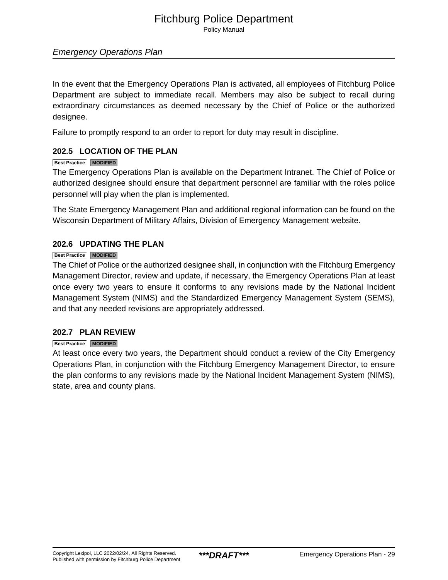## Fitchburg Police Department

Policy Manual

## Emergency Operations Plan

In the event that the Emergency Operations Plan is activated, all employees of Fitchburg Police Department are subject to immediate recall. Members may also be subject to recall during extraordinary circumstances as deemed necessary by the Chief of Police or the authorized designee.

Failure to promptly respond to an order to report for duty may result in discipline.

## **202.5 LOCATION OF THE PLAN**

#### **Best Practice MODIFIED**

The Emergency Operations Plan is available on the Department Intranet. The Chief of Police or authorized designee should ensure that department personnel are familiar with the roles police personnel will play when the plan is implemented.

The State Emergency Management Plan and additional regional information can be found on the Wisconsin Department of Military Affairs, Division of Emergency Management website.

#### **202.6 UPDATING THE PLAN**

#### **Best Practice MODIFIED**

The Chief of Police or the authorized designee shall, in conjunction with the Fitchburg Emergency Management Director, review and update, if necessary, the Emergency Operations Plan at least once every two years to ensure it conforms to any revisions made by the National Incident Management System (NIMS) and the Standardized Emergency Management System (SEMS), and that any needed revisions are appropriately addressed.

#### **202.7 PLAN REVIEW**

#### **Best Practice MODIFIED**

At least once every two years, the Department should conduct a review of the City Emergency Operations Plan, in conjunction with the Fitchburg Emergency Management Director, to ensure the plan conforms to any revisions made by the National Incident Management System (NIMS), state, area and county plans.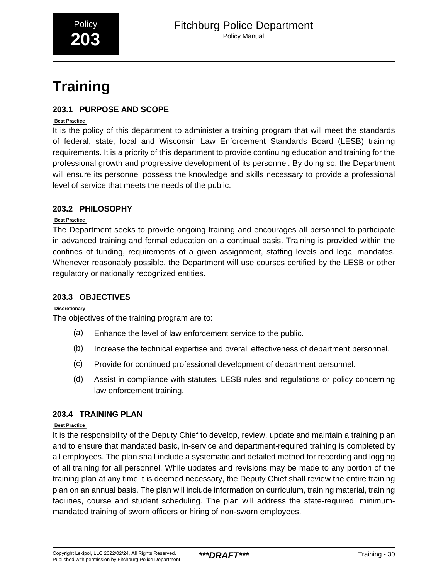# <span id="page-3-0"></span>**Training**

## **203.1 PURPOSE AND SCOPE**

#### **Best Practice**

It is the policy of this department to administer a training program that will meet the standards of federal, state, local and Wisconsin Law Enforcement Standards Board (LESB) training requirements. It is a priority of this department to provide continuing education and training for the professional growth and progressive development of its personnel. By doing so, the Department will ensure its personnel possess the knowledge and skills necessary to provide a professional level of service that meets the needs of the public.

## **203.2 PHILOSOPHY**

#### **Best Practice**

The Department seeks to provide ongoing training and encourages all personnel to participate in advanced training and formal education on a continual basis. Training is provided within the confines of funding, requirements of a given assignment, staffing levels and legal mandates. Whenever reasonably possible, the Department will use courses certified by the LESB or other regulatory or nationally recognized entities.

#### **203.3 OBJECTIVES**

#### **Discretionary**

The objectives of the training program are to:

- (a) Enhance the level of law enforcement service to the public.
- (b) Increase the technical expertise and overall effectiveness of department personnel.
- (c) Provide for continued professional development of department personnel.
- (d) Assist in compliance with statutes, LESB rules and regulations or policy concerning law enforcement training.

## **203.4 TRAINING PLAN**

#### **Best Practice**

It is the responsibility of the Deputy Chief to develop, review, update and maintain a training plan and to ensure that mandated basic, in-service and department-required training is completed by all employees. The plan shall include a systematic and detailed method for recording and logging of all training for all personnel. While updates and revisions may be made to any portion of the training plan at any time it is deemed necessary, the Deputy Chief shall review the entire training plan on an annual basis. The plan will include information on curriculum, training material, training facilities, course and student scheduling. The plan will address the state-required, minimummandated training of sworn officers or hiring of non-sworn employees.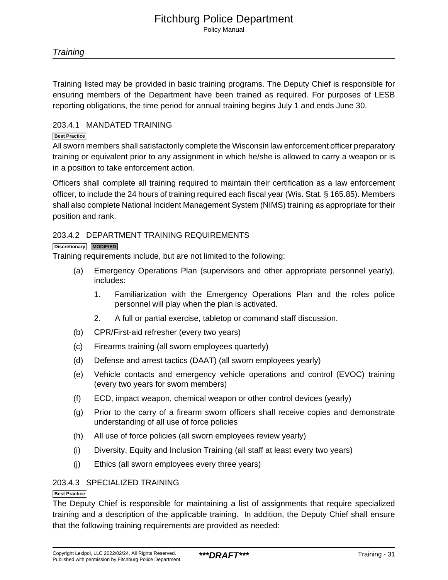Training listed may be provided in basic training programs. The Deputy Chief is responsible for ensuring members of the Department have been trained as required. For purposes of LESB reporting obligations, the time period for annual training begins July 1 and ends June 30.

#### 203.4.1 MANDATED TRAINING

#### **Best Practice**

All sworn members shall satisfactorily complete the Wisconsin law enforcement officer preparatory training or equivalent prior to any assignment in which he/she is allowed to carry a weapon or is in a position to take enforcement action.

Officers shall complete all training required to maintain their certification as a law enforcement officer, to include the 24 hours of training required each fiscal year (Wis. Stat. § 165.85). Members shall also complete National Incident Management System (NIMS) training as appropriate for their position and rank.

#### 203.4.2 DEPARTMENT TRAINING REQUIREMENTS

#### **Discretionary MODIFIED**

Training requirements include, but are not limited to the following:

- (a) Emergency Operations Plan (supervisors and other appropriate personnel yearly), includes:
	- 1. Familiarization with the Emergency Operations Plan and the roles police personnel will play when the plan is activated.
	- 2. A full or partial exercise, tabletop or command staff discussion.
- (b) CPR/First-aid refresher (every two years)
- (c) Firearms training (all sworn employees quarterly)
- (d) Defense and arrest tactics (DAAT) (all sworn employees yearly)
- (e) Vehicle contacts and emergency vehicle operations and control (EVOC) training (every two years for sworn members)
- (f) ECD, impact weapon, chemical weapon or other control devices (yearly)
- (g) Prior to the carry of a firearm sworn officers shall receive copies and demonstrate understanding of all use of force policies
- (h) All use of force policies (all sworn employees review yearly)
- (i) Diversity, Equity and Inclusion Training (all staff at least every two years)
- (j) Ethics (all sworn employees every three years)

#### 203.4.3 SPECIALIZED TRAINING

#### **Best Practice**

The Deputy Chief is responsible for maintaining a list of assignments that require specialized training and a description of the applicable training. In addition, the Deputy Chief shall ensure that the following training requirements are provided as needed: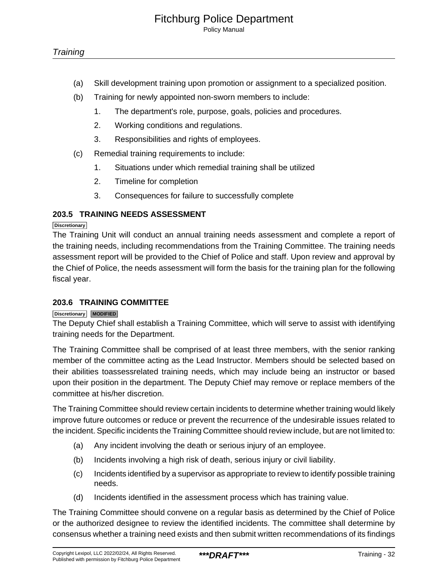- (a) Skill development training upon promotion or assignment to a specialized position.
- (b) Training for newly appointed non-sworn members to include:
	- 1. The department's role, purpose, goals, policies and procedures.
	- 2. Working conditions and regulations.
	- 3. Responsibilities and rights of employees.
- (c) Remedial training requirements to include:
	- 1. Situations under which remedial training shall be utilized
	- 2. Timeline for completion
	- 3. Consequences for failure to successfully complete

## **203.5 TRAINING NEEDS ASSESSMENT**

#### **Discretionary**

The Training Unit will conduct an annual training needs assessment and complete a report of the training needs, including recommendations from the Training Committee. The training needs assessment report will be provided to the Chief of Police and staff. Upon review and approval by the Chief of Police, the needs assessment will form the basis for the training plan for the following fiscal year.

#### **203.6 TRAINING COMMITTEE**

#### **Discretionary MODIFIED**

The Deputy Chief shall establish a Training Committee, which will serve to assist with identifying training needs for the Department.

The Training Committee shall be comprised of at least three members, with the senior ranking member of the committee acting as the Lead Instructor. Members should be selected based on their abilities toassessrelated training needs, which may include being an instructor or based upon their position in the department. The Deputy Chief may remove or replace members of the committee at his/her discretion.

The Training Committee should review certain incidents to determine whether training would likely improve future outcomes or reduce or prevent the recurrence of the undesirable issues related to the incident. Specific incidents the Training Committee should review include, but are not limited to:

- (a) Any incident involving the death or serious injury of an employee.
- (b) Incidents involving a high risk of death, serious injury or civil liability.
- (c) Incidents identified by a supervisor as appropriate to review to identify possible training needs.
- (d) Incidents identified in the assessment process which has training value.

The Training Committee should convene on a regular basis as determined by the Chief of Police or the authorized designee to review the identified incidents. The committee shall determine by consensus whether a training need exists and then submit written recommendations of its findings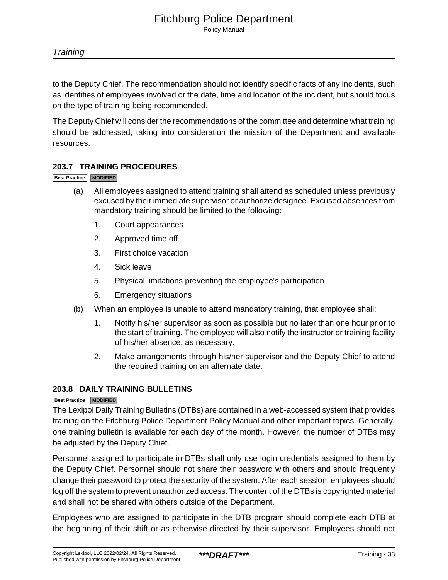to the Deputy Chief. The recommendation should not identify specific facts of any incidents, such as identities of employees involved or the date, time and location of the incident, but should focus on the type of training being recommended.

The Deputy Chief will consider the recommendations of the committee and determine what training should be addressed, taking into consideration the mission of the Department and available resources.

## **203.7 TRAINING PROCEDURES**

#### **Best Practice MODIFIED**

- (a) All employees assigned to attend training shall attend as scheduled unless previously excused by their immediate supervisor or authorize designee. Excused absences from mandatory training should be limited to the following:
	- 1. Court appearances
	- 2. Approved time off
	- 3. First choice vacation
	- 4. Sick leave
	- 5. Physical limitations preventing the employee's participation
	- 6. Emergency situations
- (b) When an employee is unable to attend mandatory training, that employee shall:
	- 1. Notify his/her supervisor as soon as possible but no later than one hour prior to the start of training. The employee will also notify the instructor or training facility of his/her absence, as necessary.
	- 2. Make arrangements through his/her supervisor and the Deputy Chief to attend the required training on an alternate date.

## **203.8 DAILY TRAINING BULLETINS**

#### **Best Practice MODIFIED**

The Lexipol Daily Training Bulletins (DTBs) are contained in a web-accessed system that provides training on the Fitchburg Police Department Policy Manual and other important topics. Generally, one training bulletin is available for each day of the month. However, the number of DTBs may be adjusted by the Deputy Chief.

Personnel assigned to participate in DTBs shall only use login credentials assigned to them by the Deputy Chief. Personnel should not share their password with others and should frequently change their password to protect the security of the system. After each session, employees should log off the system to prevent unauthorized access. The content of the DTBs is copyrighted material and shall not be shared with others outside of the Department.

Employees who are assigned to participate in the DTB program should complete each DTB at the beginning of their shift or as otherwise directed by their supervisor. Employees should not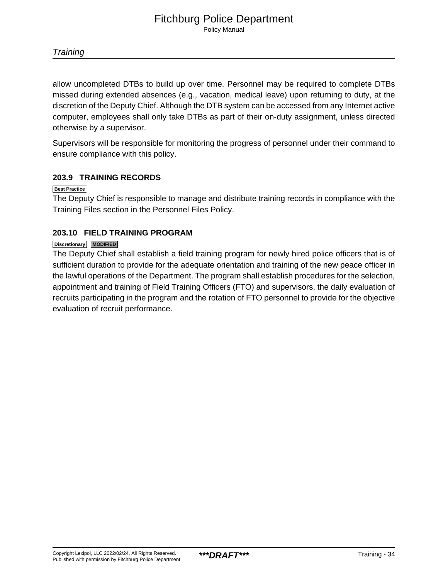allow uncompleted DTBs to build up over time. Personnel may be required to complete DTBs missed during extended absences (e.g., vacation, medical leave) upon returning to duty, at the discretion of the Deputy Chief. Although the DTB system can be accessed from any Internet active computer, employees shall only take DTBs as part of their on-duty assignment, unless directed otherwise by a supervisor.

Supervisors will be responsible for monitoring the progress of personnel under their command to ensure compliance with this policy.

## **203.9 TRAINING RECORDS**

#### **Best Practice**

The Deputy Chief is responsible to manage and distribute training records in compliance with the Training Files section in the Personnel Files Policy.

## **203.10 FIELD TRAINING PROGRAM**

#### **Discretionary MODIFIED**

The Deputy Chief shall establish a field training program for newly hired police officers that is of sufficient duration to provide for the adequate orientation and training of the new peace officer in the lawful operations of the Department. The program shall establish procedures for the selection, appointment and training of Field Training Officers (FTO) and supervisors, the daily evaluation of recruits participating in the program and the rotation of FTO personnel to provide for the objective evaluation of recruit performance.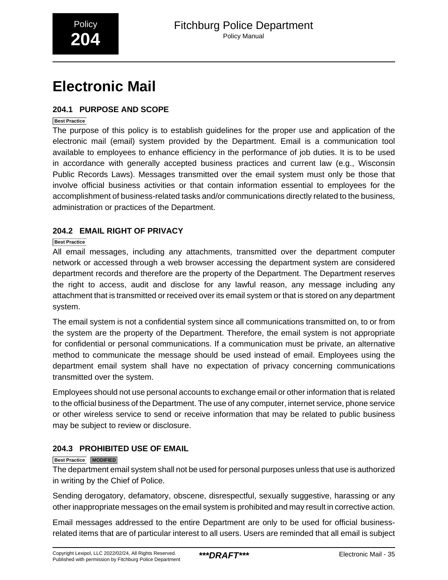## <span id="page-8-0"></span>**Electronic Mail**

## **204.1 PURPOSE AND SCOPE**

#### **Best Practice**

The purpose of this policy is to establish guidelines for the proper use and application of the electronic mail (email) system provided by the Department. Email is a communication tool available to employees to enhance efficiency in the performance of job duties. It is to be used in accordance with generally accepted business practices and current law (e.g., Wisconsin Public Records Laws). Messages transmitted over the email system must only be those that involve official business activities or that contain information essential to employees for the accomplishment of business-related tasks and/or communications directly related to the business, administration or practices of the Department.

## **204.2 EMAIL RIGHT OF PRIVACY**

## **Best Practice**

All email messages, including any attachments, transmitted over the department computer network or accessed through a web browser accessing the department system are considered department records and therefore are the property of the Department. The Department reserves the right to access, audit and disclose for any lawful reason, any message including any attachment that is transmitted or received over its email system or that is stored on any department system.

The email system is not a confidential system since all communications transmitted on, to or from the system are the property of the Department. Therefore, the email system is not appropriate for confidential or personal communications. If a communication must be private, an alternative method to communicate the message should be used instead of email. Employees using the department email system shall have no expectation of privacy concerning communications transmitted over the system.

Employees should not use personal accounts to exchange email or other information that is related to the official business of the Department. The use of any computer, internet service, phone service or other wireless service to send or receive information that may be related to public business may be subject to review or disclosure.

## **204.3 PROHIBITED USE OF EMAIL**

#### **Best Practice MODIFIED**

The department email system shall not be used for personal purposes unless that use is authorized in writing by the Chief of Police.

Sending derogatory, defamatory, obscene, disrespectful, sexually suggestive, harassing or any other inappropriate messages on the email system is prohibited and may result in corrective action.

Email messages addressed to the entire Department are only to be used for official businessrelated items that are of particular interest to all users. Users are reminded that all email is subject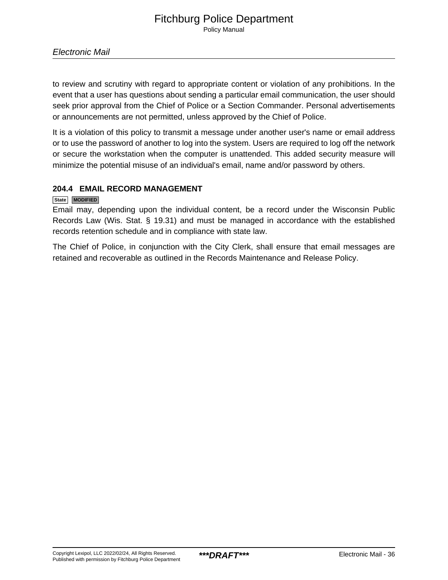to review and scrutiny with regard to appropriate content or violation of any prohibitions. In the event that a user has questions about sending a particular email communication, the user should seek prior approval from the Chief of Police or a Section Commander. Personal advertisements or announcements are not permitted, unless approved by the Chief of Police.

It is a violation of this policy to transmit a message under another user's name or email address or to use the password of another to log into the system. Users are required to log off the network or secure the workstation when the computer is unattended. This added security measure will minimize the potential misuse of an individual's email, name and/or password by others.

## **204.4 EMAIL RECORD MANAGEMENT**

#### **State MODIFIED**

Email may, depending upon the individual content, be a record under the Wisconsin Public Records Law (Wis. Stat. § 19.31) and must be managed in accordance with the established records retention schedule and in compliance with state law.

The Chief of Police, in conjunction with the City Clerk, shall ensure that email messages are retained and recoverable as outlined in the Records Maintenance and Release Policy.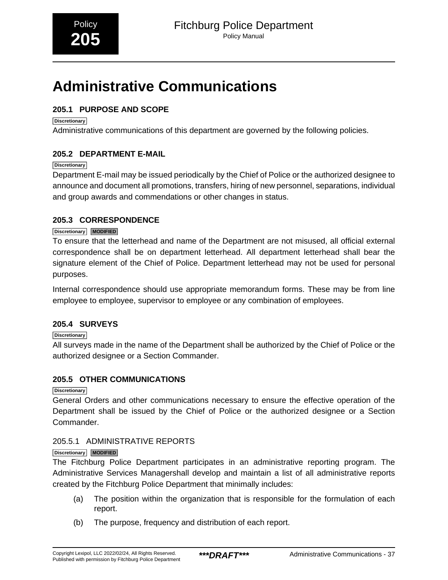## <span id="page-10-0"></span>**Administrative Communications**

## **205.1 PURPOSE AND SCOPE**

**Discretionary**

Administrative communications of this department are governed by the following policies.

## **205.2 DEPARTMENT E-MAIL**

#### **Discretionary**

Department E-mail may be issued periodically by the Chief of Police or the authorized designee to announce and document all promotions, transfers, hiring of new personnel, separations, individual and group awards and commendations or other changes in status.

## **205.3 CORRESPONDENCE**

## **Discretionary MODIFIED**

To ensure that the letterhead and name of the Department are not misused, all official external correspondence shall be on department letterhead. All department letterhead shall bear the signature element of the Chief of Police. Department letterhead may not be used for personal purposes.

Internal correspondence should use appropriate memorandum forms. These may be from line employee to employee, supervisor to employee or any combination of employees.

## **205.4 SURVEYS**

## **Discretionary**

All surveys made in the name of the Department shall be authorized by the Chief of Police or the authorized designee or a Section Commander.

## **205.5 OTHER COMMUNICATIONS**

**Discretionary**

General Orders and other communications necessary to ensure the effective operation of the Department shall be issued by the Chief of Police or the authorized designee or a Section Commander.

## 205.5.1 ADMINISTRATIVE REPORTS

#### **Discretionary MODIFIED**

The Fitchburg Police Department participates in an administrative reporting program. The Administrative Services Managershall develop and maintain a list of all administrative reports created by the Fitchburg Police Department that minimally includes:

- (a) The position within the organization that is responsible for the formulation of each report.
- (b) The purpose, frequency and distribution of each report.